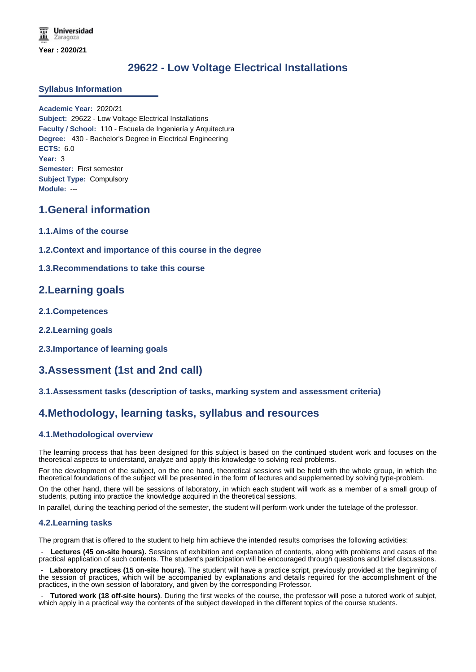# **29622 - Low Voltage Electrical Installations**

### **Syllabus Information**

**Academic Year:** 2020/21 **Subject:** 29622 - Low Voltage Electrical Installations **Faculty / School:** 110 - Escuela de Ingeniería y Arquitectura **Degree:** 430 - Bachelor's Degree in Electrical Engineering **ECTS:** 6.0 **Year:** 3 **Semester:** First semester **Subject Type:** Compulsory **Module:** ---

### **1.General information**

- **1.1.Aims of the course**
- **1.2.Context and importance of this course in the degree**
- **1.3.Recommendations to take this course**

### **2.Learning goals**

- **2.1.Competences**
- **2.2.Learning goals**
- **2.3.Importance of learning goals**

## **3.Assessment (1st and 2nd call)**

### **3.1.Assessment tasks (description of tasks, marking system and assessment criteria)**

### **4.Methodology, learning tasks, syllabus and resources**

### **4.1.Methodological overview**

The learning process that has been designed for this subject is based on the continued student work and focuses on the theoretical aspects to understand, analyze and apply this knowledge to solving real problems.

For the development of the subject, on the one hand, theoretical sessions will be held with the whole group, in which the theoretical foundations of the subject will be presented in the form of lectures and supplemented by solving type-problem.

On the other hand, there will be sessions of laboratory, in which each student will work as a member of a small group of students, putting into practice the knowledge acquired in the theoretical sessions.

In parallel, during the teaching period of the semester, the student will perform work under the tutelage of the professor.

#### **4.2.Learning tasks**

The program that is offered to the student to help him achieve the intended results comprises the following activities:

Lectures (45 on-site hours). Sessions of exhibition and explanation of contents, along with problems and cases of the practical application of such contents. The student's participation will be encouraged through questions and brief discussions.

Laboratory practices (15 on-site hours). The student will have a practice script, previously provided at the beginning of the session of practices, which will be accompanied by explanations and details required for the accomplishment of the practices, in the own session of laboratory, and given by the corresponding Professor.

 - **Tutored work (18 off-site hours)**. During the first weeks of the course, the professor will pose a tutored work of subjet, which apply in a practical way the contents of the subject developed in the different topics of the course students.